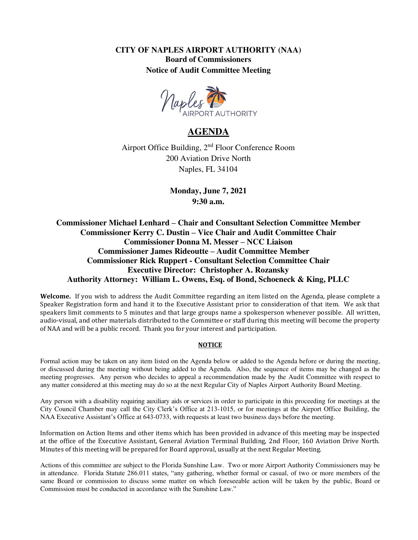**CITY OF NAPLES AIRPORT AUTHORITY (NAA) Board of Commissioners Notice of Audit Committee Meeting** 



# **AGENDA**

Airport Office Building, 2nd Floor Conference Room 200 Aviation Drive North Naples, FL 34104

> **Monday, June 7, 2021 9:30 a.m.**

**Commissioner Michael Lenhard – Chair and Consultant Selection Committee Member Commissioner Kerry C. Dustin – Vice Chair and Audit Committee Chair Commissioner Donna M. Messer – NCC Liaison Commissioner James Rideoutte – Audit Committee Member Commissioner Rick Ruppert - Consultant Selection Committee Chair Executive Director: Christopher A. Rozansky Authority Attorney: William L. Owens, Esq. of Bond, Schoeneck & King, PLLC** 

**Welcome.** If you wish to address the Audit Committee regarding an item listed on the Agenda, please complete a Speaker Registration form and hand it to the Executive Assistant prior to consideration of that item. We ask that speakers limit comments to 5 minutes and that large groups name a spokesperson whenever possible. All written, audio-visual, and other materials distributed to the Committee or staff during this meeting will become the property of NAA and will be a public record. Thank you for your interest and participation.

#### **NOTICE**

Formal action may be taken on any item listed on the Agenda below or added to the Agenda before or during the meeting, or discussed during the meeting without being added to the Agenda. Also, the sequence of items may be changed as the meeting progresses. Any person who decides to appeal a recommendation made by the Audit Committee with respect to any matter considered at this meeting may do so at the next Regular City of Naples Airport Authority Board Meeting.

Any person with a disability requiring auxiliary aids or services in order to participate in this proceeding for meetings at the City Council Chamber may call the City Clerk's Office at 213-1015, or for meetings at the Airport Office Building, the NAA Executive Assistant's Office at 643-0733, with requests at least two business days before the meeting.

Information on Action Items and other items which has been provided in advance of this meeting may be inspected at the office of the Executive Assistant, General Aviation Terminal Building, 2nd Floor, 160 Aviation Drive North. Minutes of this meeting will be prepared for Board approval, usually at the next Regular Meeting.

Actions of this committee are subject to the Florida Sunshine Law. Two or more Airport Authority Commissioners may be in attendance. Florida Statute 286.011 states, "any gathering, whether formal or casual, of two or more members of the same Board or commission to discuss some matter on which foreseeable action will be taken by the public, Board or Commission must be conducted in accordance with the Sunshine Law."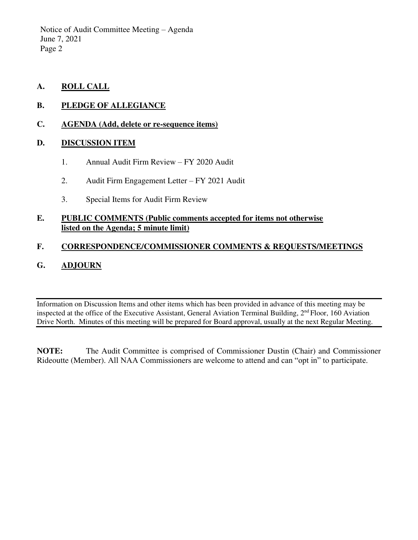Notice of Audit Committee Meeting – Agenda June 7, 2021 Page 2

- **A. ROLL CALL**
- **B. PLEDGE OF ALLEGIANCE**
- **C. AGENDA (Add, delete or re-sequence items)**

## **D. DISCUSSION ITEM**

- 1. Annual Audit Firm Review FY 2020 Audit
- 2. Audit Firm Engagement Letter FY 2021 Audit
- 3. Special Items for Audit Firm Review

## **E. PUBLIC COMMENTS (Public comments accepted for items not otherwise listed on the Agenda; 5 minute limit)**

# **F. CORRESPONDENCE/COMMISSIONER COMMENTS & REQUESTS/MEETINGS**

# **G. ADJOURN**

Information on Discussion Items and other items which has been provided in advance of this meeting may be inspected at the office of the Executive Assistant, General Aviation Terminal Building, 2nd Floor, 160 Aviation Drive North. Minutes of this meeting will be prepared for Board approval, usually at the next Regular Meeting.

**NOTE:** The Audit Committee is comprised of Commissioner Dustin (Chair) and Commissioner Rideoutte (Member). All NAA Commissioners are welcome to attend and can "opt in" to participate.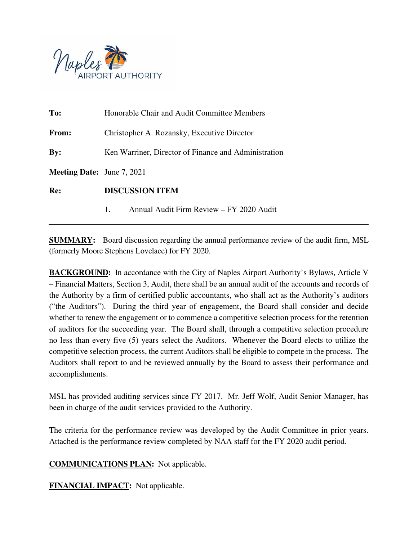

| To:                               | Honorable Chair and Audit Committee Members          |  |  |
|-----------------------------------|------------------------------------------------------|--|--|
| <b>From:</b>                      | Christopher A. Rozansky, Executive Director          |  |  |
| By:                               | Ken Warriner, Director of Finance and Administration |  |  |
| <b>Meeting Date:</b> June 7, 2021 |                                                      |  |  |
| Re:                               | <b>DISCUSSION ITEM</b>                               |  |  |
|                                   | Annual Audit Firm Review - FY 2020 Audit<br>1.       |  |  |

**SUMMARY:** Board discussion regarding the annual performance review of the audit firm, MSL (formerly Moore Stephens Lovelace) for FY 2020.

**BACKGROUND:** In accordance with the City of Naples Airport Authority's Bylaws, Article V – Financial Matters, Section 3, Audit, there shall be an annual audit of the accounts and records of the Authority by a firm of certified public accountants, who shall act as the Authority's auditors ("the Auditors"). During the third year of engagement, the Board shall consider and decide whether to renew the engagement or to commence a competitive selection process for the retention of auditors for the succeeding year. The Board shall, through a competitive selection procedure no less than every five (5) years select the Auditors. Whenever the Board elects to utilize the competitive selection process, the current Auditors shall be eligible to compete in the process. The Auditors shall report to and be reviewed annually by the Board to assess their performance and accomplishments.

MSL has provided auditing services since FY 2017. Mr. Jeff Wolf, Audit Senior Manager, has been in charge of the audit services provided to the Authority.

The criteria for the performance review was developed by the Audit Committee in prior years. Attached is the performance review completed by NAA staff for the FY 2020 audit period.

**COMMUNICATIONS PLAN:** Not applicable.

**FINANCIAL IMPACT:** Not applicable.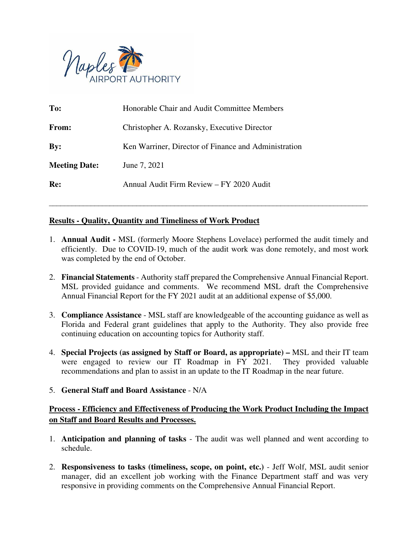

| To:                  | Honorable Chair and Audit Committee Members          |
|----------------------|------------------------------------------------------|
| From:                | Christopher A. Rozansky, Executive Director          |
| $\mathbf{By:}$       | Ken Warriner, Director of Finance and Administration |
| <b>Meeting Date:</b> | June 7, 2021                                         |
| Re:                  | Annual Audit Firm Review - FY 2020 Audit             |

# **Results - Quality, Quantity and Timeliness of Work Product**

1. **Annual Audit -** MSL (formerly Moore Stephens Lovelace) performed the audit timely and efficiently. Due to COVID-19, much of the audit work was done remotely, and most work was completed by the end of October.

\_\_\_\_\_\_\_\_\_\_\_\_\_\_\_\_\_\_\_\_\_\_\_\_\_\_\_\_\_\_\_\_\_\_\_\_\_\_\_\_\_\_\_\_\_\_\_\_\_\_\_\_\_\_\_\_\_\_\_\_\_\_\_\_\_\_\_\_\_\_\_\_\_\_\_\_\_\_\_\_\_\_\_\_

- 2. **Financial Statements** Authority staff prepared the Comprehensive Annual Financial Report. MSL provided guidance and comments. We recommend MSL draft the Comprehensive Annual Financial Report for the FY 2021 audit at an additional expense of \$5,000.
- 3. **Compliance Assistance** MSL staff are knowledgeable of the accounting guidance as well as Florida and Federal grant guidelines that apply to the Authority. They also provide free continuing education on accounting topics for Authority staff.
- 4. **Special Projects (as assigned by Staff or Board, as appropriate)** MSL and their IT team were engaged to review our IT Roadmap in FY 2021. They provided valuable recommendations and plan to assist in an update to the IT Roadmap in the near future.
- 5. **General Staff and Board Assistance** N/A

# **Process - Efficiency and Effectiveness of Producing the Work Product Including the Impact on Staff and Board Results and Processes.**

- 1. **Anticipation and planning of tasks** The audit was well planned and went according to schedule.
- 2. **Responsiveness to tasks (timeliness, scope, on point, etc.)** Jeff Wolf, MSL audit senior manager, did an excellent job working with the Finance Department staff and was very responsive in providing comments on the Comprehensive Annual Financial Report.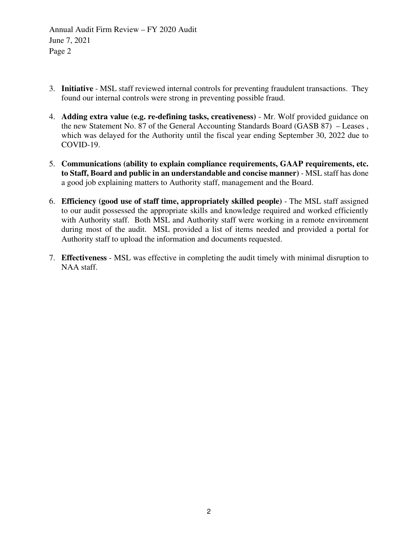Annual Audit Firm Review – FY 2020 Audit June 7, 2021 Page 2

- 3. **Initiative** MSL staff reviewed internal controls for preventing fraudulent transactions. They found our internal controls were strong in preventing possible fraud.
- 4. **Adding extra value (e.g. re-defining tasks, creativeness)** Mr. Wolf provided guidance on the new Statement No. 87 of the General Accounting Standards Board (GASB 87) – Leases , which was delayed for the Authority until the fiscal year ending September 30, 2022 due to COVID-19.
- 5. **Communications (ability to explain compliance requirements, GAAP requirements, etc. to Staff, Board and public in an understandable and concise manner)** - MSL staff has done a good job explaining matters to Authority staff, management and the Board.
- 6. **Efficiency (good use of staff time, appropriately skilled people)** The MSL staff assigned to our audit possessed the appropriate skills and knowledge required and worked efficiently with Authority staff. Both MSL and Authority staff were working in a remote environment during most of the audit. MSL provided a list of items needed and provided a portal for Authority staff to upload the information and documents requested.
- 7. **Effectiveness** MSL was effective in completing the audit timely with minimal disruption to NAA staff.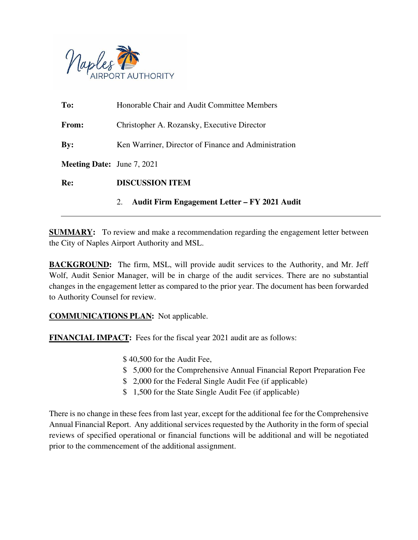

|                                   | Audit Firm Engagement Letter – FY 2021 Audit<br>2.   |  |  |
|-----------------------------------|------------------------------------------------------|--|--|
| Re:                               | <b>DISCUSSION ITEM</b>                               |  |  |
| <b>Meeting Date:</b> June 7, 2021 |                                                      |  |  |
| $\mathbf{By:}$                    | Ken Warriner, Director of Finance and Administration |  |  |
| <b>From:</b>                      | Christopher A. Rozansky, Executive Director          |  |  |
| To:                               | Honorable Chair and Audit Committee Members          |  |  |

**SUMMARY:** To review and make a recommendation regarding the engagement letter between the City of Naples Airport Authority and MSL.

**BACKGROUND:** The firm, MSL, will provide audit services to the Authority, and Mr. Jeff Wolf, Audit Senior Manager, will be in charge of the audit services. There are no substantial changes in the engagement letter as compared to the prior year. The document has been forwarded to Authority Counsel for review.

**COMMUNICATIONS PLAN:** Not applicable.

**FINANCIAL IMPACT:** Fees for the fiscal year 2021 audit are as follows:

- \$ 40,500 for the Audit Fee,
- \$ 5,000 for the Comprehensive Annual Financial Report Preparation Fee
- \$ 2,000 for the Federal Single Audit Fee (if applicable)
- \$ 1,500 for the State Single Audit Fee (if applicable)

There is no change in these fees from last year, except for the additional fee for the Comprehensive Annual Financial Report. Any additional services requested by the Authority in the form of special reviews of specified operational or financial functions will be additional and will be negotiated prior to the commencement of the additional assignment.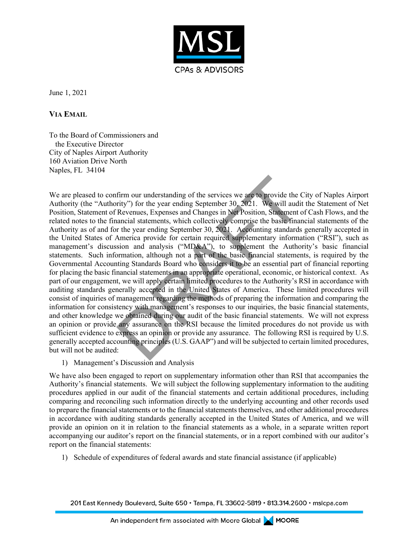

June 1, 2021

**VIA EMAIL**

To the Board of Commissioners and the Executive Director City of Naples Airport Authority 160 Aviation Drive North Naples, FL 34104

We are pleased to confirm our understanding of the services we are to provide the City of Naples Airport Authority (the "Authority") for the year ending September 30, 2021. We will audit the Statement of Net Position, Statement of Revenues, Expenses and Changes in Net Position, Statement of Cash Flows, and the related notes to the financial statements, which collectively comprise the basic financial statements of the Authority as of and for the year ending September 30, 2021. Accounting standards generally accepted in the United States of America provide for certain required supplementary information ("RSI"), such as management's discussion and analysis ("MD&A"), to supplement the Authority's basic financial statements. Such information, although not a part of the basic financial statements, is required by the Governmental Accounting Standards Board who considers it to be an essential part of financial reporting for placing the basic financial statements in an appropriate operational, economic, or historical context. As part of our engagement, we will apply certain limited procedures to the Authority's RSI in accordance with auditing standards generally accepted in the United States of America. These limited procedures will consist of inquiries of management regarding the methods of preparing the information and comparing the information for consistency with management's responses to our inquiries, the basic financial statements, and other knowledge we obtained during our audit of the basic financial statements. We will not express an opinion or provide any assurance on the RSI because the limited procedures do not provide us with sufficient evidence to express an opinion or provide any assurance. The following RSI is required by U.S. generally accepted accounting principles (U.S. GAAP") and will be subjected to certain limited procedures, but will not be audited: firm our understanding of the services we are to provide the (rity") for the year ending September 30, 2021. We will audii Revenues, Expenses and Changes in Net Position, Statement ancical statements, which collectively c

1) Management's Discussion and Analysis

We have also been engaged to report on supplementary information other than RSI that accompanies the Authority's financial statements. We will subject the following supplementary information to the auditing procedures applied in our audit of the financial statements and certain additional procedures, including comparing and reconciling such information directly to the underlying accounting and other records used to prepare the financial statements or to the financial statements themselves, and other additional procedures in accordance with auditing standards generally accepted in the United States of America, and we will provide an opinion on it in relation to the financial statements as a whole, in a separate written report accompanying our auditor's report on the financial statements, or in a report combined with our auditor's report on the financial statements:

1) Schedule of expenditures of federal awards and state financial assistance (if applicable)

201 East Kennedy Boulevard, Suite 650 · Tampa, FL 33602-5819 · 813.314.2600 · mslcpa.com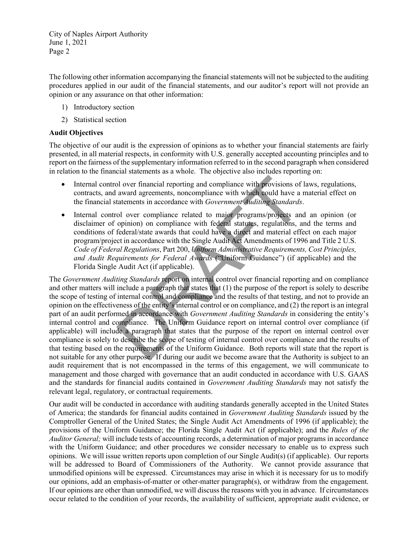The following other information accompanying the financial statements will not be subjected to the auditing procedures applied in our audit of the financial statements, and our auditor's report will not provide an opinion or any assurance on that other information:

- 1) Introductory section
- 2) Statistical section

### **Audit Objectives**

The objective of our audit is the expression of opinions as to whether your financial statements are fairly presented, in all material respects, in conformity with U.S. generally accepted accounting principles and to report on the fairness of the supplementary information referred to in the second paragraph when considered in relation to the financial statements as a whole. The objective also includes reporting on:

- Internal control over financial reporting and compliance with provisions of laws, regulations, contracts, and award agreements, noncompliance with which could have a material effect on the financial statements in accordance with *Government Auditing Standards*.
- Internal control over compliance related to major programs/projects and an opinion (or disclaimer of opinion) on compliance with federal statutes, regulations, and the terms and conditions of federal/state awards that could have a direct and material effect on each major program/project in accordance with the Single Audit Act Amendments of 1996 and Title 2 U.S. *Code of Federal Regulations*, Part 200, *Uniform Administrative Requirements, Cost Principles, and Audit Requirements for Federal Awards* ("Uniform Guidance") (if applicable) and the Florida Single Audit Act (if applicable).

The *Government Auditing Standards* report on internal control over financial reporting and on compliance and other matters will include a paragraph that states that (1) the purpose of the report is solely to describe the scope of testing of internal control and compliance and the results of that testing, and not to provide an opinion on the effectiveness of the entity's internal control or on compliance, and (2) the report is an integral part of an audit performed in accordance with *Government Auditing Standards* in considering the entity's internal control and compliance. The Uniform Guidance report on internal control over compliance (if applicable) will include a paragraph that states that the purpose of the report on internal control over compliance is solely to describe the scope of testing of internal control over compliance and the results of that testing based on the requirements of the Uniform Guidance. Both reports will state that the report is not suitable for any other purpose. If during our audit we become aware that the Authority is subject to an audit requirement that is not encompassed in the terms of this engagement, we will communicate to management and those charged with governance that an audit conducted in accordance with U.S. GAAS and the standards for financial audits contained in *Government Auditing Standards* may not satisfy the relevant legal, regulatory, or contractual requirements. bl over financial reporting and compliance with provisions of<br>award agreements, noncompliance with which could have a<br>tatements in accordance with *Government Auditing Standards*<br>ol over compliance related to major program

Our audit will be conducted in accordance with auditing standards generally accepted in the United States of America; the standards for financial audits contained in *Government Auditing Standards* issued by the Comptroller General of the United States; the Single Audit Act Amendments of 1996 (if applicable); the provisions of the Uniform Guidance; the Florida Single Audit Act (if applicable); and the *Rules of the Auditor General;* will include tests of accounting records, a determination of major programs in accordance with the Uniform Guidance; and other procedures we consider necessary to enable us to express such opinions. We will issue written reports upon completion of our Single Audit(s) (if applicable). Our reports will be addressed to Board of Commissioners of the Authority. We cannot provide assurance that unmodified opinions will be expressed. Circumstances may arise in which it is necessary for us to modify our opinions, add an emphasis-of-matter or other-matter paragraph(s), or withdraw from the engagement. If our opinions are other than unmodified, we will discuss the reasons with you in advance. If circumstances occur related to the condition of your records, the availability of sufficient, appropriate audit evidence, or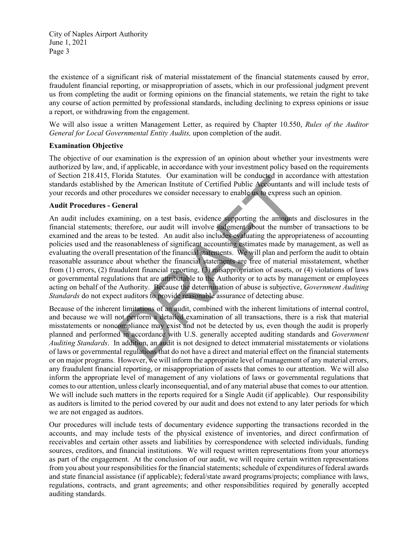the existence of a significant risk of material misstatement of the financial statements caused by error, fraudulent financial reporting, or misappropriation of assets, which in our professional judgment prevent us from completing the audit or forming opinions on the financial statements, we retain the right to take any course of action permitted by professional standards, including declining to express opinions or issue a report, or withdrawing from the engagement.

We will also issue a written Management Letter, as required by Chapter 10.550, *Rules of the Auditor General for Local Governmental Entity Audits,* upon completion of the audit.

### **Examination Objective**

The objective of our examination is the expression of an opinion about whether your investments were authorized by law, and, if applicable, in accordance with your investment policy based on the requirements of Section 218.415, Florida Statutes. Our examination will be conducted in accordance with attestation standards established by the American Institute of Certified Public Accountants and will include tests of your records and other procedures we consider necessary to enable us to express such an opinion.

#### **Audit Procedures - General**

An audit includes examining, on a test basis, evidence supporting the amounts and disclosures in the financial statements; therefore, our audit will involve judgment about the number of transactions to be examined and the areas to be tested. An audit also includes evaluating the appropriateness of accounting policies used and the reasonableness of significant accounting estimates made by management, as well as evaluating the overall presentation of the financial statements. We will plan and perform the audit to obtain reasonable assurance about whether the financial statements are free of material misstatement, whether from (1) errors, (2) fraudulent financial reporting, (3) misappropriation of assets, or (4) violations of laws or governmental regulations that are attributable to the Authority or to acts by management or employees acting on behalf of the Authority. Because the determination of abuse is subjective, *Government Auditing Standards* do not expect auditors to provide reasonable assurance of detecting abuse. formal statutes. Our examination will be conducted in accord<br>by the American Institute of Certified Public Accountants an<br>procedures we consider necessary to enable us to express suc<br>ieneral<br>amining, on a test basis, evide

Because of the inherent limitations of an audit, combined with the inherent limitations of internal control, and because we will not perform a detailed examination of all transactions, there is a risk that material misstatements or noncompliance may exist and not be detected by us, even though the audit is properly planned and performed in accordance with U.S. generally accepted auditing standards and *Government Auditing Standards*. In addition, an audit is not designed to detect immaterial misstatements or violations of laws or governmental regulations that do not have a direct and material effect on the financial statements or on major programs. However, we will inform the appropriate level of management of any material errors, any fraudulent financial reporting, or misappropriation of assets that comes to our attention. We will also inform the appropriate level of management of any violations of laws or governmental regulations that comes to our attention, unless clearly inconsequential, and of any material abuse that comes to our attention. We will include such matters in the reports required for a Single Audit (if applicable). Our responsibility as auditors is limited to the period covered by our audit and does not extend to any later periods for which we are not engaged as auditors.

Our procedures will include tests of documentary evidence supporting the transactions recorded in the accounts, and may include tests of the physical existence of inventories, and direct confirmation of receivables and certain other assets and liabilities by correspondence with selected individuals, funding sources, creditors, and financial institutions. We will request written representations from your attorneys as part of the engagement. At the conclusion of our audit, we will require certain written representations from you about your responsibilities for the financial statements; schedule of expenditures of federal awards and state financial assistance (if applicable); federal/state award programs/projects; compliance with laws, regulations, contracts, and grant agreements; and other responsibilities required by generally accepted auditing standards.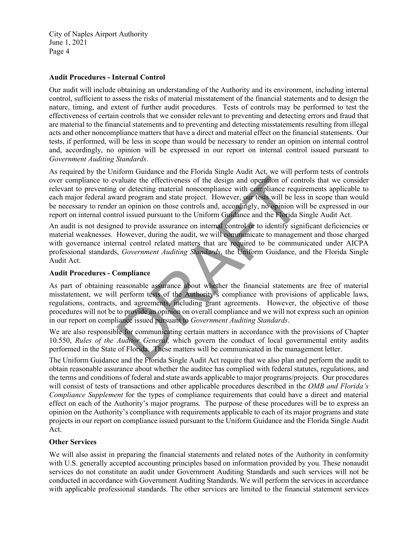### **Audit Procedures - Internal Control**

Our audit will include obtaining an understanding of the Authority and its environment, including internal control, sufficient to assess the risks of material misstatement of the financial statements and to design the nature, timing, and extent of further audit procedures. Tests of controls may be performed to test the effectiveness of certain controls that we consider relevant to preventing and detecting errors and fraud that are material to the financial statements and to preventing and detecting misstatements resulting from illegal acts and other noncompliance matters that have a direct and material effect on the financial statements. Our tests, if performed, will be less in scope than would be necessary to render an opinion on internal control and, accordingly, no opinion will be expressed in our report on internal control issued pursuant to *Government Auditing Standards*.

As required by the Uniform Guidance and the Florida Single Audit Act, we will perform tests of controls over compliance to evaluate the effectiveness of the design and operation of controls that we consider relevant to preventing or detecting material noncompliance with compliance requirements applicable to each major federal award program and state project. However, our tests will be less in scope than would be necessary to render an opinion on those controls and, accordingly, no opinion will be expressed in our report on internal control issued pursuant to the Uniform Guidance and the Florida Single Audit Act. valuate the effectiveness of the design and operation of contract of the design and operation of control or detecting material noncompliance with compliance required and program and state project. However, our tests will b

An audit is not designed to provide assurance on internal control or to identify significant deficiencies or material weaknesses. However, during the audit, we will communicate to management and those charged with governance internal control related matters that are required to be communicated under AICPA professional standards, *Government Auditing Standards*, the Uniform Guidance, and the Florida Single Audit Act.

### **Audit Procedures - Compliance**

As part of obtaining reasonable assurance about whether the financial statements are free of material misstatement, we will perform tests of the Authority's compliance with provisions of applicable laws, regulations, contracts, and agreements, including grant agreements. However, the objective of those procedures will not be to provide an opinion on overall compliance and we will not express such an opinion in our report on compliance issued pursuant to *Government Auditing Standards*.

We are also responsible for communicating certain matters in accordance with the provisions of Chapter 10.550, *Rules of the Auditor General,* which govern the conduct of local governmental entity audits performed in the State of Florida. These matters will be communicated in the management letter.

The Uniform Guidance and the Florida Single Audit Act require that we also plan and perform the audit to obtain reasonable assurance about whether the auditee has complied with federal statutes, regulations, and the terms and conditions of federal and state awards applicable to major programs/projects. Our procedures will consist of tests of transactions and other applicable procedures described in the *OMB and Florida's Compliance Supplement* for the types of compliance requirements that could have a direct and material effect on each of the Authority's major programs. The purpose of these procedures will be to express an opinion on the Authority's compliance with requirements applicable to each of its major programs and state projects in our report on compliance issued pursuant to the Uniform Guidance and the Florida Single Audit Act.

### **Other Services**

We will also assist in preparing the financial statements and related notes of the Authority in conformity with U.S. generally accepted accounting principles based on information provided by you. These nonaudit services do not constitute an audit under Government Auditing Standards and such services will not be conducted in accordance with Government Auditing Standards. We will perform the services in accordance with applicable professional standards. The other services are limited to the financial statement services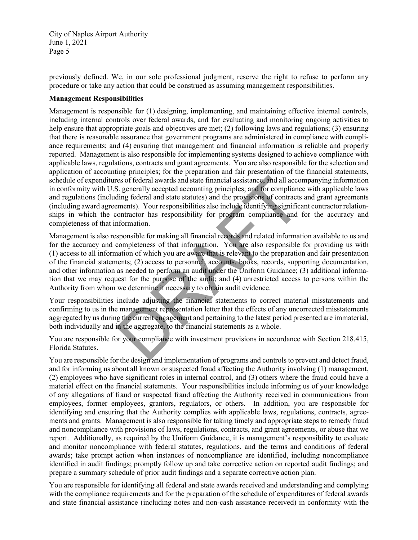previously defined. We, in our sole professional judgment, reserve the right to refuse to perform any procedure or take any action that could be construed as assuming management responsibilities.

#### **Management Responsibilities**

Management is responsible for (1) designing, implementing, and maintaining effective internal controls, including internal controls over federal awards, and for evaluating and monitoring ongoing activities to help ensure that appropriate goals and objectives are met; (2) following laws and regulations; (3) ensuring that there is reasonable assurance that government programs are administered in compliance with compliance requirements; and (4) ensuring that management and financial information is reliable and properly reported. Management is also responsible for implementing systems designed to achieve compliance with applicable laws, regulations, contracts and grant agreements. You are also responsible for the selection and application of accounting principles; for the preparation and fair presentation of the financial statements, schedule of expenditures of federal awards and state financial assistance, and all accompanying information in conformity with U.S. generally accepted accounting principles; and for compliance with applicable laws and regulations (including federal and state statutes) and the provisions of contracts and grant agreements (including award agreements). Your responsibilities also include identifying significant contractor relationships in which the contractor has responsibility for program compliance and for the accuracy and completeness of that information.

Management is also responsible for making all financial records and related information available to us and for the accuracy and completeness of that information. You are also responsible for providing us with (1) access to all information of which you are aware that is relevant to the preparation and fair presentation of the financial statements; (2) access to personnel, accounts, books, records, supporting documentation, and other information as needed to perform an audit under the Uniform Guidance; (3) additional information that we may request for the purpose of the audit; and (4) unrestricted access to persons within the Authority from whom we determine it necessary to obtain audit evidence. is a federal awards and state financial assistance, and all according the section of the provisions of compliance in the provisions of compliance in the provisions of compliance in the provisions of contracts ments). Your

Your responsibilities include adjusting the financial statements to correct material misstatements and confirming to us in the management representation letter that the effects of any uncorrected misstatements aggregated by us during the current engagement and pertaining to the latest period presented are immaterial, both individually and in the aggregate, to the financial statements as a whole.

You are responsible for your compliance with investment provisions in accordance with Section 218.415, Florida Statutes.

You are responsible for the design and implementation of programs and controls to prevent and detect fraud, and for informing us about all known or suspected fraud affecting the Authority involving (1) management, (2) employees who have significant roles in internal control, and (3) others where the fraud could have a material effect on the financial statements. Your responsibilities include informing us of your knowledge of any allegations of fraud or suspected fraud affecting the Authority received in communications from employees, former employees, grantors, regulators, or others. In addition, you are responsible for identifying and ensuring that the Authority complies with applicable laws, regulations, contracts, agreements and grants. Management is also responsible for taking timely and appropriate steps to remedy fraud and noncompliance with provisions of laws, regulations, contracts, and grant agreements, or abuse that we report. Additionally, as required by the Uniform Guidance, it is management's responsibility to evaluate and monitor noncompliance with federal statutes, regulations, and the terms and conditions of federal awards; take prompt action when instances of noncompliance are identified, including noncompliance identified in audit findings; promptly follow up and take corrective action on reported audit findings; and prepare a summary schedule of prior audit findings and a separate corrective action plan.

You are responsible for identifying all federal and state awards received and understanding and complying with the compliance requirements and for the preparation of the schedule of expenditures of federal awards and state financial assistance (including notes and non-cash assistance received) in conformity with the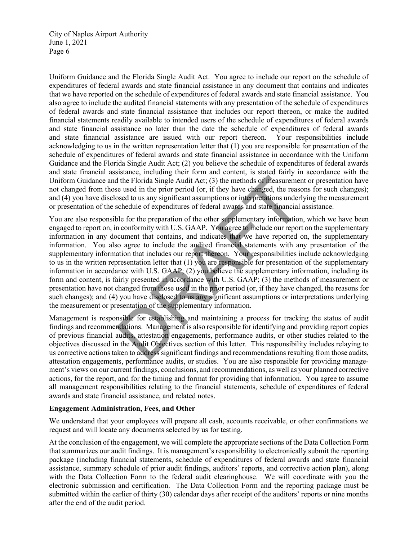Uniform Guidance and the Florida Single Audit Act. You agree to include our report on the schedule of expenditures of federal awards and state financial assistance in any document that contains and indicates that we have reported on the schedule of expenditures of federal awards and state financial assistance. You also agree to include the audited financial statements with any presentation of the schedule of expenditures of federal awards and state financial assistance that includes our report thereon, or make the audited financial statements readily available to intended users of the schedule of expenditures of federal awards and state financial assistance no later than the date the schedule of expenditures of federal awards and state financial assistance are issued with our report thereon. Your responsibilities include and state financial assistance are issued with our report thereon. acknowledging to us in the written representation letter that (1) you are responsible for presentation of the schedule of expenditures of federal awards and state financial assistance in accordance with the Uniform Guidance and the Florida Single Audit Act; (2) you believe the schedule of expenditures of federal awards and state financial assistance, including their form and content, is stated fairly in accordance with the Uniform Guidance and the Florida Single Audit Act; (3) the methods of measurement or presentation have not changed from those used in the prior period (or, if they have changed, the reasons for such changes); and (4) you have disclosed to us any significant assumptions or interpretations underlying the measurement or presentation of the schedule of expenditures of federal awards and state financial assistance.

You are also responsible for the preparation of the other supplementary information, which we have been engaged to report on, in conformity with U.S. GAAP. You agree to include our report on the supplementary information in any document that contains, and indicates that we have reported on, the supplementary information. You also agree to include the audited financial statements with any presentation of the supplementary information that includes our report thereon. Your responsibilities include acknowledging to us in the written representation letter that  $(1)$  you are responsible for presentation of the supplementary information in accordance with U.S. GAAP; (2) you believe the supplementary information, including its form and content, is fairly presented in accordance with U.S. GAAP; (3) the methods of measurement or presentation have not changed from those used in the prior period (or, if they have changed, the reasons for such changes); and (4) you have disclosed to us any significant assumptions or interpretations underlying the measurement or presentation of the supplementary information. If the Florida Single Audit Act; (3) the methods of measuremer<br>se used in the prior period (or, if they have changed, the reaso-<br>seed to us any significant assumptions or interpretations underlanded<br>the present of expendit

Management is responsible for establishing and maintaining a process for tracking the status of audit findings and recommendations. Management is also responsible for identifying and providing report copies of previous financial audits, attestation engagements, performance audits, or other studies related to the objectives discussed in the Audit Objectives section of this letter. This responsibility includes relaying to us corrective actions taken to address significant findings and recommendations resulting from those audits, attestation engagements, performance audits, or studies. You are also responsible for providing management's views on our current findings, conclusions, and recommendations, as well as your planned corrective actions, for the report, and for the timing and format for providing that information. You agree to assume all management responsibilities relating to the financial statements, schedule of expenditures of federal awards and state financial assistance, and related notes.

### **Engagement Administration, Fees, and Other**

We understand that your employees will prepare all cash, accounts receivable, or other confirmations we request and will locate any documents selected by us for testing.

At the conclusion of the engagement, we will complete the appropriate sections of the Data Collection Form that summarizes our audit findings. It is management's responsibility to electronically submit the reporting package (including financial statements, schedule of expenditures of federal awards and state financial assistance, summary schedule of prior audit findings, auditors' reports, and corrective action plan), along with the Data Collection Form to the federal audit clearinghouse. We will coordinate with you the electronic submission and certification. The Data Collection Form and the reporting package must be submitted within the earlier of thirty (30) calendar days after receipt of the auditors' reports or nine months after the end of the audit period.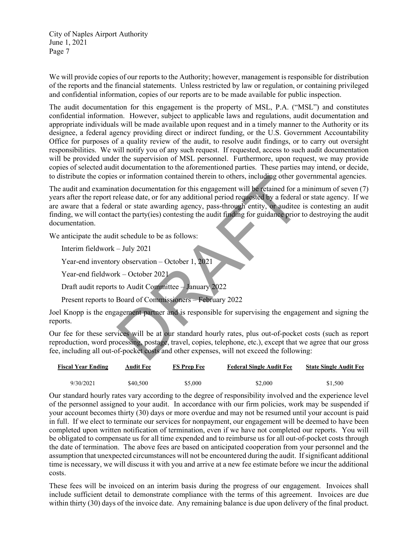We will provide copies of our reports to the Authority; however, management is responsible for distribution of the reports and the financial statements. Unless restricted by law or regulation, or containing privileged and confidential information, copies of our reports are to be made available for public inspection.

The audit documentation for this engagement is the property of MSL, P.A. ("MSL") and constitutes confidential information. However, subject to applicable laws and regulations, audit documentation and appropriate individuals will be made available upon request and in a timely manner to the Authority or its designee, a federal agency providing direct or indirect funding, or the U.S. Government Accountability Office for purposes of a quality review of the audit, to resolve audit findings, or to carry out oversight responsibilities. We will notify you of any such request. If requested, access to such audit documentation will be provided under the supervision of MSL personnel. Furthermore, upon request, we may provide copies of selected audit documentation to the aforementioned parties. These parties may intend, or decide, to distribute the copies or information contained therein to others, including other governmental agencies.

The audit and examination documentation for this engagement will be retained for a minimum of seven (7) years after the report release date, or for any additional period requested by a federal or state agency. If we are aware that a federal or state awarding agency, pass-through entity, or auditee is contesting an audit finding, we will contact the party(ies) contesting the audit finding for guidance prior to destroying the audit documentation. or information contained therem to others, including other geotion<br>
allease date, or for any additional period requested by a federal<br>
allease date, or for any additional period requested by a federal<br>
allease date, or for

We anticipate the audit schedule to be as follows:

Interim fieldwork – July 2021

Year-end inventory observation – October 1, 2021

Year-end fieldwork – October 2021

Draft audit reports to Audit Committee – January 2022

Present reports to Board of Commissioners – February 2022

Joel Knopp is the engagement partner and is responsible for supervising the engagement and signing the reports.

Our fee for these services will be at our standard hourly rates, plus out-of-pocket costs (such as report reproduction, word processing, postage, travel, copies, telephone, etc.), except that we agree that our gross fee, including all out-of-pocket costs and other expenses, will not exceed the following:

| <b>Fiscal Year Ending</b> | Audit Fee | <b>FS Prep Fee</b> | <b>Federal Single Audit Fee</b> | <b>State Single Audit Fee</b> |
|---------------------------|-----------|--------------------|---------------------------------|-------------------------------|
| 9/30/2021                 | \$40,500  | \$5,000            | \$2,000                         | \$1,500                       |

Our standard hourly rates vary according to the degree of responsibility involved and the experience level of the personnel assigned to your audit. In accordance with our firm policies, work may be suspended if your account becomes thirty (30) days or more overdue and may not be resumed until your account is paid in full. If we elect to terminate our services for nonpayment, our engagement will be deemed to have been completed upon written notification of termination, even if we have not completed our reports. You will be obligated to compensate us for all time expended and to reimburse us for all out-of-pocket costs through the date of termination. The above fees are based on anticipated cooperation from your personnel and the assumption that unexpected circumstances will not be encountered during the audit. If significant additional time is necessary, we will discuss it with you and arrive at a new fee estimate before we incur the additional costs.

These fees will be invoiced on an interim basis during the progress of our engagement. Invoices shall include sufficient detail to demonstrate compliance with the terms of this agreement. Invoices are due within thirty (30) days of the invoice date. Any remaining balance is due upon delivery of the final product.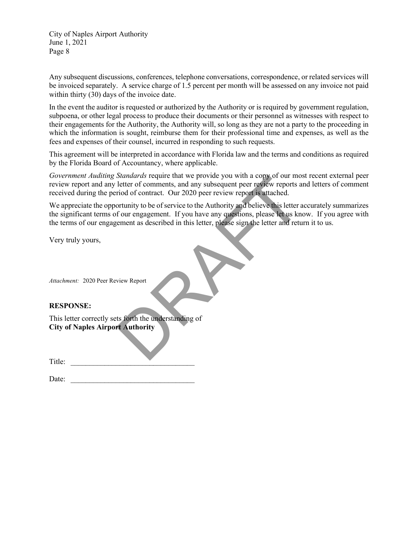Any subsequent discussions, conferences, telephone conversations, correspondence, or related services will be invoiced separately. A service charge of 1.5 percent per month will be assessed on any invoice not paid within thirty (30) days of the invoice date.

In the event the auditor is requested or authorized by the Authority or is required by government regulation, subpoena, or other legal process to produce their documents or their personnel as witnesses with respect to their engagements for the Authority, the Authority will, so long as they are not a party to the proceeding in which the information is sought, reimburse them for their professional time and expenses, as well as the fees and expenses of their counsel, incurred in responding to such requests.

This agreement will be interpreted in accordance with Florida law and the terms and conditions as required by the Florida Board of Accountancy, where applicable.

*Government Auditing Standards* require that we provide you with a copy of our most recent external peer review report and any letter of comments, and any subsequent peer review reports and letters of comment received during the period of contract. Our 2020 peer review report is attached.

We appreciate the opportunity to be of service to the Authority and believe this letter accurately summarizes the significant terms of our engagement. If you have any questions, please let us know. If you agree with the terms of our engagement as described in this letter, please sign the letter and return it to us. Covernment Autarium Syandaras require that we provide you with a converting Syandary step of our converting and any subsequent peer review reports are<br>received during the period of contract. Our 2020 peer review report is

Very truly yours,

*Attachment:* 2020 Peer Review Report

### **RESPONSE:**

This letter correctly sets forth the understanding of **City of Naples Airport Authority**

Title: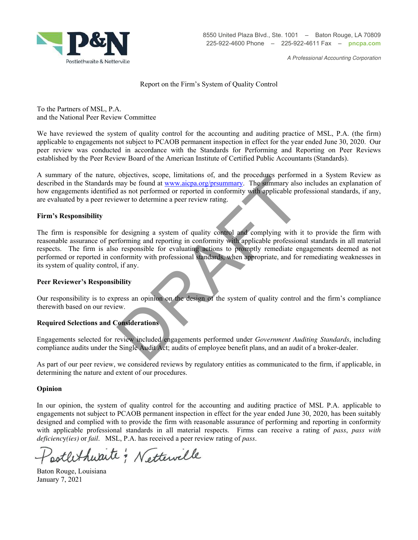

A Professional Accounting Corporation

#### Report on the Firm's System of Quality Control

To the Partners of MSL, P.A. and the National Peer Review Committee

We have reviewed the system of quality control for the accounting and auditing practice of MSL, P.A. (the firm) applicable to engagements not subject to PCAOB permanent inspection in effect for the year ended June 30, 2020. Our peer review was conducted in accordance with the Standards for Performing and Reporting on Peer Reviews established by the Peer Review Board of the American Institute of Certified Public Accountants (Standards).

A summary of the nature, objectives, scope, limitations of, and the procedures performed in a System Review as described in the Standards may be found at www.aicpa.org/prsummary. The summary also includes an explanation of how engagements identified as not performed or reported in conformity with applicable professional standards, if any, are evaluated by a peer reviewer to determine a peer review rating.

#### **Firm's Responsibility**

The firm is responsible for designing a system of quality control and complying with it to provide the firm with reasonable assurance of performing and reporting in conformity with applicable professional standards in all material respects. The firm is also responsible for evaluating actions to promptly remediate engagements deemed as not performed or reported in conformity with professional standards, when appropriate, and for remediating weaknesses in its system of quality control, if any. ongetives, scope, iminations or, and the procedures performances<br>and a sa not performed or reported in conforming. The summary also<br>abuse found at <u>wave acprositementary</u>. The summary also<br>ever to determine a peer review r

#### **Peer Reviewer's Responsibility**

Our responsibility is to express an opinion on the design of the system of quality control and the firm's compliance therewith based on our review.

### **Required Selections and Considerations**

Engagements selected for review included engagements performed under *Government Auditing Standards*, including compliance audits under the Single Audit Act; audits of employee benefit plans, and an audit of a broker-dealer.

As part of our peer review, we considered reviews by regulatory entities as communicated to the firm, if applicable, in determining the nature and extent of our procedures.

#### **Opinion**

In our opinion, the system of quality control for the accounting and auditing practice of MSL P.A. applicable to engagements not subject to PCAOB permanent inspection in effect for the year ended June 30, 2020, has been suitably designed and complied with to provide the firm with reasonable assurance of performing and reporting in conformity with applicable professional standards in all material respects. Firms can receive a rating of *pass*, *pass with deficienc*y*(ies)* or *fail*. MSL, P.A. has received a peer review rating of *pass*.

potlethwaite ; Nettewille

Baton Rouge, Louisiana January 7, 2021